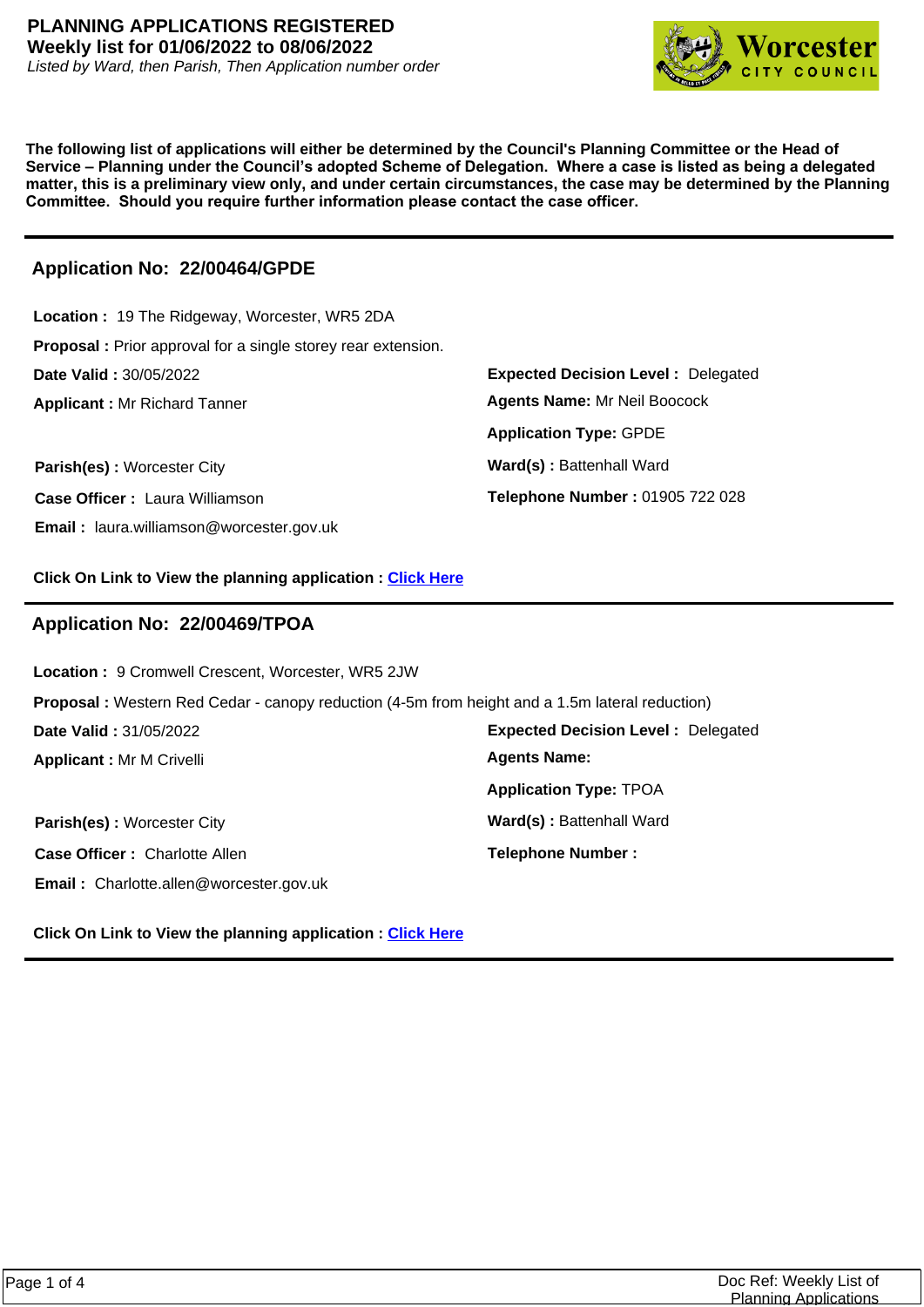

**The following list of applications will either be determined by the Council's Planning Committee or the Head of Service – Planning under the Council's adopted Scheme of Delegation. Where a case is listed as being a delegated matter, this is a preliminary view only, and under certain circumstances, the case may be determined by the Planning Committee. Should you require further information please contact the case officer.**

# **Application No: 22/00464/GPDE**

| Location: 19 The Ridgeway, Worcester, WR5 2DA                        |                                           |
|----------------------------------------------------------------------|-------------------------------------------|
| <b>Proposal</b> : Prior approval for a single storey rear extension. |                                           |
| <b>Date Valid: 30/05/2022</b>                                        | <b>Expected Decision Level: Delegated</b> |
| <b>Applicant: Mr Richard Tanner</b>                                  | <b>Agents Name: Mr Neil Boocock</b>       |
|                                                                      | <b>Application Type: GPDE</b>             |
| Parish(es): Worcester City                                           | Ward(s): Battenhall Ward                  |
| <b>Case Officer: Laura Williamson</b>                                | Telephone Number: 01905 722 028           |
| <b>Email:</b> laura.williamson@worcester.gov.uk                      |                                           |

**Click On Link to View the planning application : [Click Here](https://plan.worcester.gov.uk/Planning/Display/22/00464/GPDE)**

# **Application No: 22/00469/TPOA**

**Expected Decision Level :** Delegated **Applicant :** Mr M Crivelli **Date Valid :** 31/05/2022 **Location :** 9 Cromwell Crescent, Worcester, WR5 2JW **Proposal :** Western Red Cedar - canopy reduction (4-5m from height and a 1.5m lateral reduction) **Application Type:** TPOA **Agents Name:** 

**Case Officer :** Charlotte Allen **Email :** Charlotte.allen@worcester.gov.uk

**Parish(es):** Worcester City **Ward(s):** Battenhall Ward **Telephone Number :**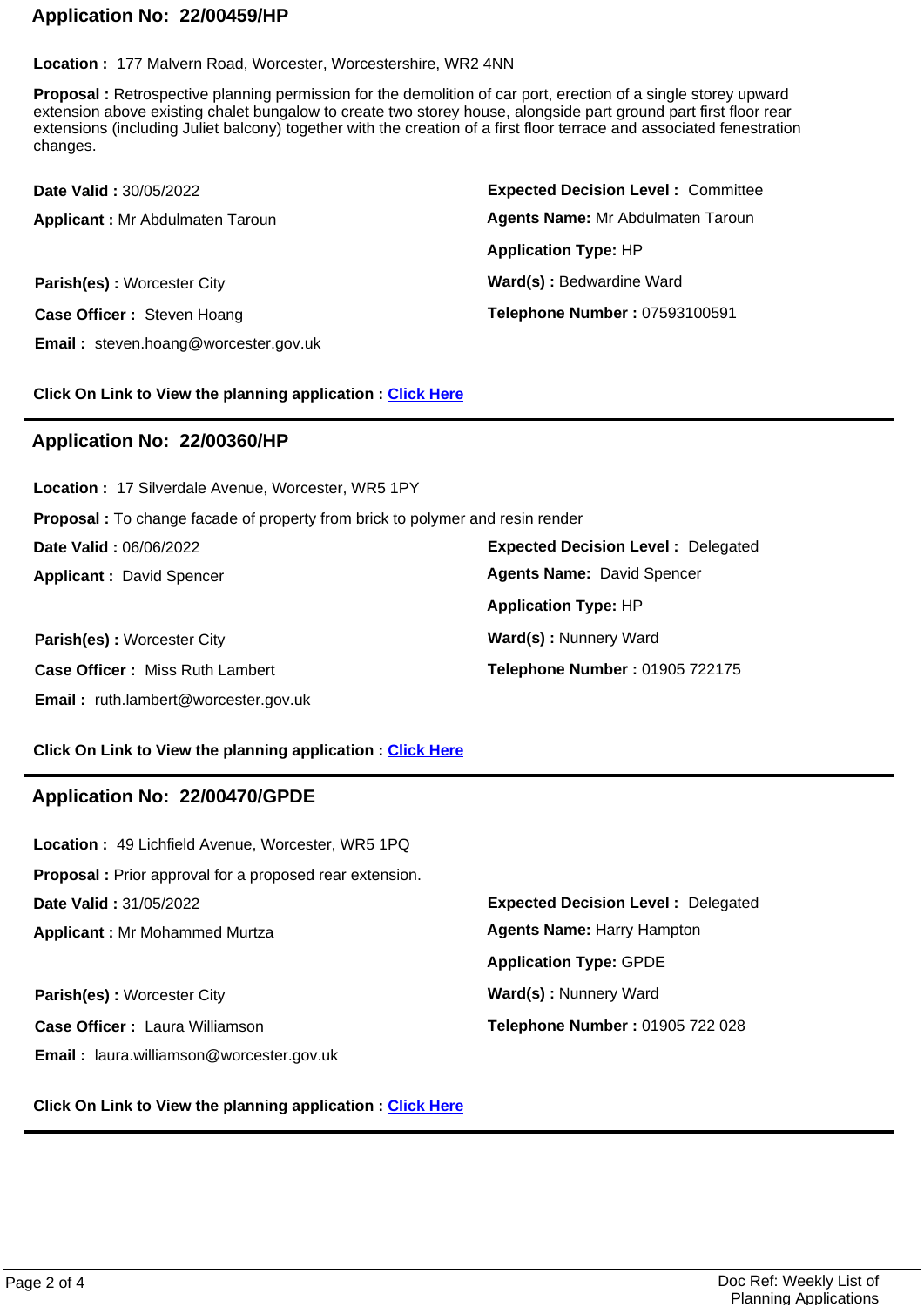# **Application No: 22/00459/HP**

**Location :** 177 Malvern Road, Worcester, Worcestershire, WR2 4NN

**Proposal :** Retrospective planning permission for the demolition of car port, erection of a single storey upward extension above existing chalet bungalow to create two storey house, alongside part ground part first floor rear extensions (including Juliet balcony) together with the creation of a first floor terrace and associated fenestration changes.

| <b>Date Valid: 30/05/2022</b>               | <b>Expected Decision Level: Committee</b> |
|---------------------------------------------|-------------------------------------------|
| <b>Applicant: Mr Abdulmaten Taroun</b>      | Agents Name: Mr Abdulmaten Taroun         |
|                                             | <b>Application Type: HP</b>               |
| Parish(es): Worcester City                  | Ward(s): Bedwardine Ward                  |
| Case Officer: Steven Hoang                  | Telephone Number: 07593100591             |
| <b>Email:</b> steven.hoang@worcester.gov.uk |                                           |

**Click On Link to View the planning application : [Click Here](https://plan.worcester.gov.uk/Planning/Display/22/00459/HP)**

### **Application No: 22/00360/HP**

**Expected Decision Level :** Delegated **Parish(es):** Worcester City **Ward(s):** Nunnery Ward **Applicant :** David Spencer **Date Valid :** 06/06/2022 **Location :** 17 Silverdale Avenue, Worcester, WR5 1PY **Proposal :** To change facade of property from brick to polymer and resin render **Application Type:** HP

**Case Officer :** Miss Ruth Lambert **Email :** ruth.lambert@worcester.gov.uk **Telephone Number :** 01905 722175 **Agents Name:** David Spencer

#### **Click On Link to View the planning application : [Click Here](https://plan.worcester.gov.uk/Planning/Display/22/00360/HP)**

### **Application No: 22/00470/GPDE**

**Email :** laura.williamson@worcester.gov.uk

| <b>Location: 49 Lichfield Avenue, Worcester, WR5 1PQ</b>       |                                           |
|----------------------------------------------------------------|-------------------------------------------|
| <b>Proposal:</b> Prior approval for a proposed rear extension. |                                           |
| <b>Date Valid: 31/05/2022</b>                                  | <b>Expected Decision Level: Delegated</b> |
| <b>Applicant: Mr Mohammed Murtza</b>                           | <b>Agents Name: Harry Hampton</b>         |
|                                                                | <b>Application Type: GPDE</b>             |
| <b>Parish(es): Worcester City</b>                              | Ward(s): Nunnery Ward                     |
| Case Officer: Laura Williamson                                 | Telephone Number: 01905 722 028           |
|                                                                |                                           |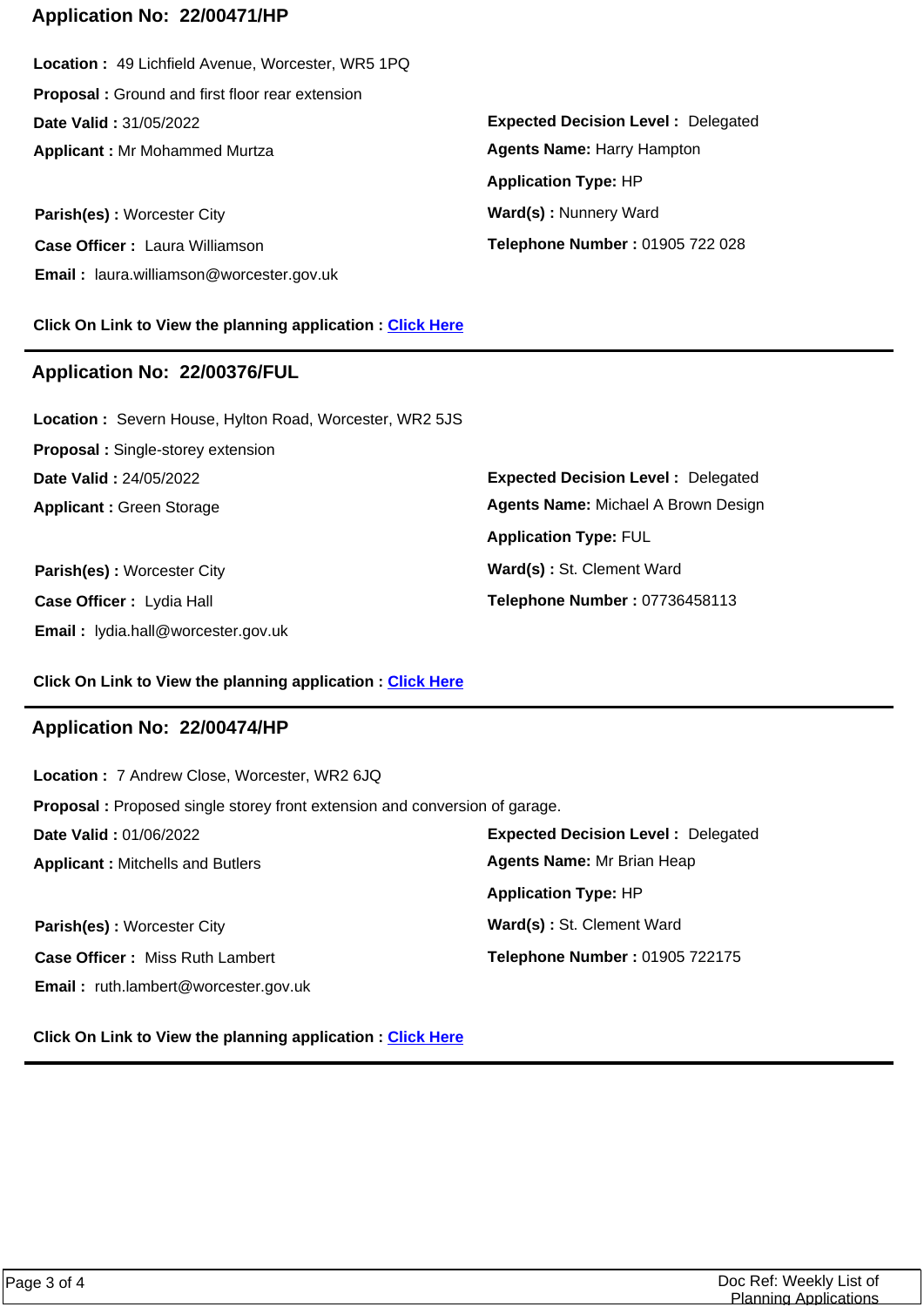## **Application No: 22/00471/HP**

**Applicant :** Mr Mohammed Murtza **Date Valid :** 31/05/2022 **Location :** 49 Lichfield Avenue, Worcester, WR5 1PQ **Proposal :** Ground and first floor rear extension

**Parish(es):** Worcester City **Ward(s):** Nunnery Ward **Case Officer :** Laura Williamson **Email :** laura.williamson@worcester.gov.uk

**Click On Link to View the planning application : [Click Here](https://plan.worcester.gov.uk/Planning/Display/22/00471/HP)**

### **Application No: 22/00376/FUL**

**Applicant :** Green Storage **Date Valid :** 24/05/2022 **Location :** Severn House, Hylton Road, Worcester, WR2 5JS **Proposal :** Single-storey extension

**Parish(es)** : Worcester City **Ward(s)** : St. Clement Ward **Case Officer :** Lydia Hall **Email :** lydia.hall@worcester.gov.uk

**Expected Decision Level :** Delegated **Telephone Number :** 01905 722 028 **Application Type:** HP **Agents Name:** Harry Hampton

**Expected Decision Level :** Delegated **Telephone Number :** 07736458113 **Application Type:** FUL **Agents Name:** Michael A Brown Design

#### **Click On Link to View the planning application : [Click Here](https://plan.worcester.gov.uk/Planning/Display/22/00376/FUL)**

### **Application No: 22/00474/HP**

**Email :** ruth.lambert@worcester.gov.uk

**Expected Decision Level :** Delegated **Parish(es)** : Worcester City **Ward(s)** : St. Clement Ward **Applicant :** Mitchells and Butlers **Date Valid :** 01/06/2022 **Location :** 7 Andrew Close, Worcester, WR2 6JQ **Proposal :** Proposed single storey front extension and conversion of garage. **Case Officer :** Miss Ruth Lambert **Telephone Number :** 01905 722175 **Application Type:** HP **Agents Name:** Mr Brian Heap